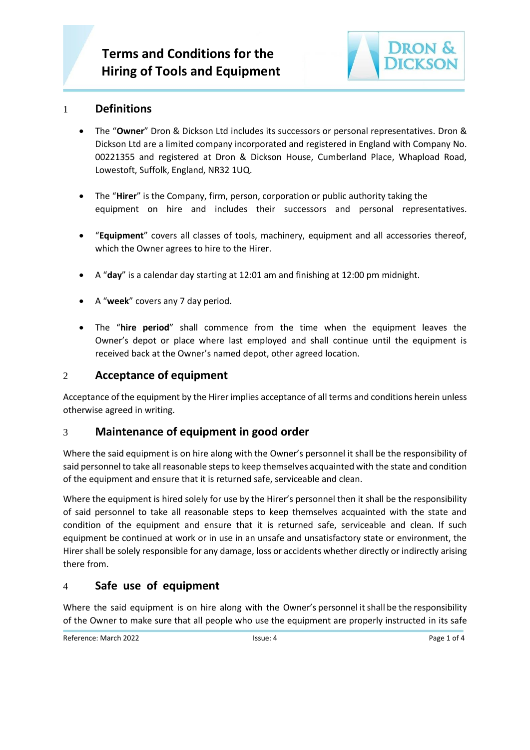

# 1 **Definitions**

- The "**Owner**" Dron & Dickson Ltd includes its successors or personal representatives. Dron & Dickson Ltd are a limited company incorporated and registered in England with Company No. 00221355 and registered at Dron & Dickson House, Cumberland Place, Whapload Road, Lowestoft, Suffolk, England, NR32 1UQ.
- The "**Hirer**" is the Company, firm, person, corporation or public authority taking the equipment on hire and includes their successors and personal representatives.
- "**Equipment**" covers all classes of tools, machinery, equipment and all accessories thereof, which the Owner agrees to hire to the Hirer.
- A "**day**" is a calendar day starting at 12:01 am and finishing at 12:00 pm midnight.
- A "**week**" covers any 7 day period.
- The "**hire period**" shall commence from the time when the equipment leaves the Owner's depot or place where last employed and shall continue until the equipment is received back at the Owner's named depot, other agreed location.

## 2 **Acceptance of equipment**

Acceptance of the equipment by the Hirer implies acceptance of all terms and conditions herein unless otherwise agreed in writing.

## 3 **Maintenance of equipment in good order**

Where the said equipment is on hire along with the Owner's personnel it shall be the responsibility of said personnel to take all reasonable steps to keep themselves acquainted with the state and condition of the equipment and ensure that it is returned safe, serviceable and clean.

Where the equipment is hired solely for use by the Hirer's personnel then it shall be the responsibility of said personnel to take all reasonable steps to keep themselves acquainted with the state and condition of the equipment and ensure that it is returned safe, serviceable and clean. If such equipment be continued at work or in use in an unsafe and unsatisfactory state or environment, the Hirer shall be solely responsible for any damage, loss or accidents whether directly or indirectly arising there from.

# 4 **Safe use of equipment**

Where the said equipment is on hire along with the Owner's personnel it shall be the responsibility of the Owner to make sure that all people who use the equipment are properly instructed in its safe

Reference: March 2022 **ISSUE: 4** ISSUE: 4 **Page 1 of 4** Page 1 of 4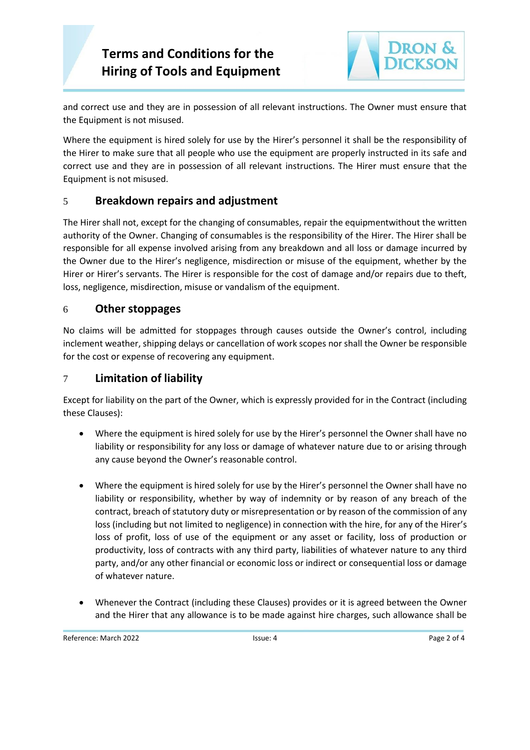# **Terms and Conditions for the Hiring of Tools and Equipment**



and correct use and they are in possession of all relevant instructions. The Owner must ensure that the Equipment is not misused.

Where the equipment is hired solely for use by the Hirer's personnel it shall be the responsibility of the Hirer to make sure that all people who use the equipment are properly instructed in its safe and correct use and they are in possession of all relevant instructions. The Hirer must ensure that the Equipment is not misused.

# 5 **Breakdown repairs and adjustment**

The Hirer shall not, except for the changing of consumables, repair the equipmentwithout the written authority of the Owner. Changing of consumables is the responsibility of the Hirer. The Hirer shall be responsible for all expense involved arising from any breakdown and all loss or damage incurred by the Owner due to the Hirer's negligence, misdirection or misuse of the equipment, whether by the Hirer or Hirer's servants. The Hirer is responsible for the cost of damage and/or repairs due to theft, loss, negligence, misdirection, misuse or vandalism of the equipment.

## 6 **Other stoppages**

No claims will be admitted for stoppages through causes outside the Owner's control, including inclement weather, shipping delays or cancellation of work scopes nor shall the Owner be responsible for the cost or expense of recovering any equipment.

## 7 **Limitation of liability**

Except for liability on the part of the Owner, which is expressly provided for in the Contract (including these Clauses):

- Where the equipment is hired solely for use by the Hirer's personnel the Owner shall have no liability or responsibility for any loss or damage of whatever nature due to or arising through any cause beyond the Owner's reasonable control.
- Where the equipment is hired solely for use by the Hirer's personnel the Owner shall have no liability or responsibility, whether by way of indemnity or by reason of any breach of the contract, breach of statutory duty or misrepresentation or by reason of the commission of any loss (including but not limited to negligence) in connection with the hire, for any of the Hirer's loss of profit, loss of use of the equipment or any asset or facility, loss of production or productivity, loss of contracts with any third party, liabilities of whatever nature to any third party, and/or any other financial or economic loss or indirect or consequential loss or damage of whatever nature.
- Whenever the Contract (including these Clauses) provides or it is agreed between the Owner and the Hirer that any allowance is to be made against hire charges, such allowance shall be

Reference: March 2022 **ISSUE: 4** ISSUE: 4 Page 2 of 4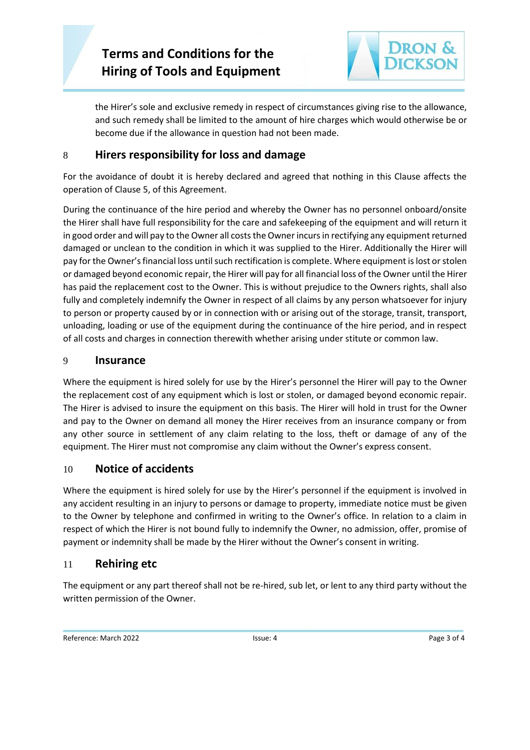

the Hirer's sole and exclusive remedy in respect of circumstances giving rise to the allowance, and such remedy shall be limited to the amount of hire charges which would otherwise be or become due if the allowance in question had not been made.

# 8 **Hirers responsibility for loss and damage**

For the avoidance of doubt it is hereby declared and agreed that nothing in this Clause affects the operation of Clause 5, of this Agreement.

During the continuance of the hire period and whereby the Owner has no personnel onboard/onsite the Hirer shall have full responsibility for the care and safekeeping of the equipment and will return it in good order and will pay to the Owner all costs the Owner incurs in rectifying any equipment returned damaged or unclean to the condition in which it was supplied to the Hirer. Additionally the Hirer will pay for the Owner's financial loss until such rectification is complete. Where equipment is lost or stolen or damaged beyond economic repair, the Hirer will pay for all financial loss of the Owner until the Hirer has paid the replacement cost to the Owner. This is without prejudice to the Owners rights, shall also fully and completely indemnify the Owner in respect of all claims by any person whatsoever for injury to person or property caused by or in connection with or arising out of the storage, transit, transport, unloading, loading or use of the equipment during the continuance of the hire period, and in respect of all costs and charges in connection therewith whether arising under stitute or common law.

#### 9 **Insurance**

Where the equipment is hired solely for use by the Hirer's personnel the Hirer will pay to the Owner the replacement cost of any equipment which is lost or stolen, or damaged beyond economic repair. The Hirer is advised to insure the equipment on this basis. The Hirer will hold in trust for the Owner and pay to the Owner on demand all money the Hirer receives from an insurance company or from any other source in settlement of any claim relating to the loss, theft or damage of any of the equipment. The Hirer must not compromise any claim without the Owner's express consent.

## 10 **Notice of accidents**

Where the equipment is hired solely for use by the Hirer's personnel if the equipment is involved in any accident resulting in an injury to persons or damage to property, immediate notice must be given to the Owner by telephone and confirmed in writing to the Owner's office. In relation to a claim in respect of which the Hirer is not bound fully to indemnify the Owner, no admission, offer, promise of payment or indemnity shall be made by the Hirer without the Owner's consent in writing.

## 11 **Rehiring etc**

The equipment or any part thereof shall not be re-hired, sub let, or lent to any third party without the written permission of the Owner.

Reference: March 2022 **ISSUE: 4 ISSUE: 4 Page 3 of 4 Page 3 of 4**